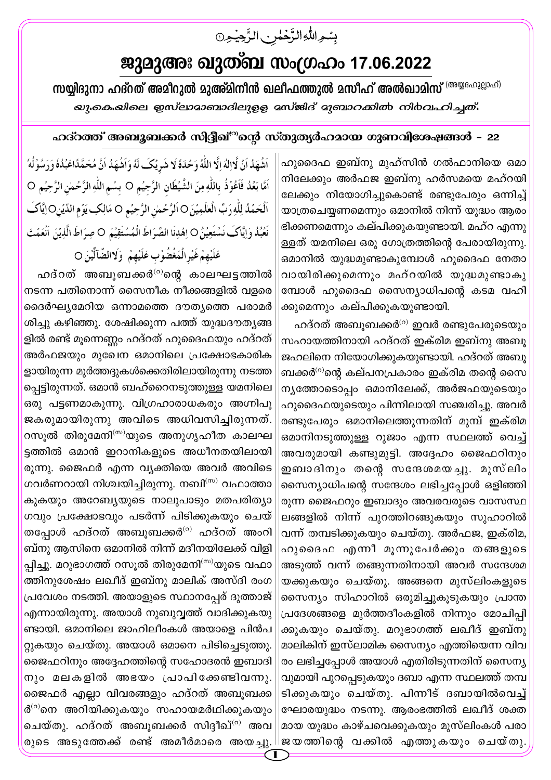## ജുമുഅഃ ഖുത്ബ സംഗ്രഹം 17.06.2022

بسوالله الرَّحُمٰنِ الرَّحِيْمِنَ

സയ്യിദുനാ ഹദ്**റത് അമീറുൽ മുഅ്മിനീൻ ഖലീഫത്തുൽ മസീഹ് അൽഖാ**മിസ് <sup>(അയ്യദഹുല്ലാഹ്)</sup> *യു.കെ.യിലെ ഇസ്ലാമാബാദിലുളള മസ്*ജിദ് മുബാ*റക്കിൽ നി*ർവഹിച്ചത്.

## ഹദ്റത്ത് അബൂബക്കർ സിദ്ദീഖ്<sup>രു</sup>ന്റെ സ്തുത്യർഹമായ ഗുണവിശേഷങ്ങൾ – 22

ഹുദൈഫ ഇബ്നു മുഹ്സിൻ ഗൽഫാനിയെ ഒമാ നിലേക്കും അർഫജ ഇബ്നു ഹർസമയെ മഹ്റയി ലേക്കും നിയോഗിച്ചുകൊണ്ട് രണ്ടുപേരും ഒന്നിച്ച് യാത്രചെയ്യണമെന്നും ഒമാനിൽ നിന്ന് യുദ്ധം ആരം ഭിക്കണമെന്നും കല്പിക്കുകയുണ്ടായി. മഹ്റ എന്നു ള്ളത് യമനിലെ ഒരു ഗോത്രത്തിന്റെ പേരായിരുന്നു. ഒമാനിൽ യുദ്ധമുണ്ടാകുമ്പോൾ ഹുദൈഫ നേതാ വായിരിക്കുമെന്നും മഹ്റയിൽ യുദ്ധമുണ്ടാകു മ്പോൾ ഹുദൈഫ സൈന്യാധിപന്റെ കടമ വഹി ക്കുമെന്നും കല്പിക്കുകയുണ്ടായി.

ഹദ്റത് അബൂബക്കർ<sup>ര)</sup> ഇവർ രണ്ടുപേരുടെയും സഹായത്തിനായി ഹദ്റത് ഇക്രിമ ഇബ്നു അബു ജഹലിനെ നിയോഗിക്കുകയുണ്ടായി. ഹദ്റത് അബൂ ബക്കർ $^{(o)}$ ന്റെ കല്പനപ്രകാരം ഇക്രിമ തന്റെ സൈ നൃത്തോടൊപ്പം ഒമാനിലേക്ക്, അർജഫയുടെയും ഹുദൈഫയുടെയും പിന്നിലായി സഞ്ചരിച്ചു. അവർ രണ്ടുപേരും ഒമാനിലെത്തുന്നതിന് മുമ്പ് ഇക്രിമ ഒമാനിനടുത്തുള്ള റുജാം എന്ന സ്ഥലത്ത് വെച്ച് അവരുമായി കണ്ടുമുട്ടി. അദ്ദേഹം ജൈഫറിനും ഇബാദിനും തന്റെ സന്ദേശമയച്ചു. മുസ്ലിം സൈന്യാധിപന്റെ സന്ദേശം ലഭിച്ചപ്പോൾ ഒളിഞ്ഞി രുന്ന ജൈഫറും ഇബാദും അവരവരുടെ വാസസ്ഥ ലങ്ങളിൽ നിന്ന് പുറത്തിറങ്ങുകയും സുഹാറിൽ വന്ന് തമ്പടിക്കുകയും ചെയ്തു. അർഫജ, ഇക്രിമ, ഹുദൈഫ എന്നീ മൂന്നുപേർക്കും തങ്ങളുടെ അടുത്ത് വന്ന് തങ്ങുന്നതിനായി അവർ സന്ദേശമ യക്കുകയും ചെയ്തു. അങ്ങനെ മുസ്ലിംകളുടെ സൈന്യം സിഹാറിൽ ഒരുമിച്ചുകൂടുകയും പ്രാന്ത പ്രദേശങ്ങളെ മൂർത്തദീംകളിൽ നിന്നും മോചിപ്പി ക്കുകയും ചെയ്തു. മറുഭാഗത്ത് ലഖീദ് ഇബ്നു മാലികിന് ഇസ്ലാമിക സൈന്യം എത്തിയെന്ന വിവ രം ലഭിച്ചപ്പോൾ അയാൾ എതിരിടുന്നതിന് സൈന്യ വുമായി പുറപ്പെടുകയും ദബാ എന്ന സ്ഥലത്ത് തമ്പ ടിക്കുകയും ചെയ്തു. പിന്നീട് ദബായിൽവെച്ച് ഘോരയുദ്ധം നടന്നു. ആരംഭത്തിൽ ലഖീദ് ശക്ത മായ യുദ്ധം കാഴ്ചവെക്കുകയും മുസ്ലിംകൾ പരാ

اَشُهَدُ اَنْ لَّاالِهُ إِلَّا اللَّهُ وَحُدَهُ لَا شَرِيْكَ لَهُ وَاَشُهَدُ اَنَّ مُحَمَّدًاعَبُدُهُ وَرَسُوُلُهُ اَمَّا بَعُدُ فَاَعُوُذُ بِاللَّهِ مِنَ الشَّيُطَانِ الرَّجِيُمِ O بِسُمِ اللَّهِ الرَّحِمٰنِ الرَّحِيُمِ O اَلۡحَمۡلُہُ لِلّٰهِ رَبِّ الۡعَلَمِیۡنَ O اَلرَّحۡمٰنِ الرَّحِیۡمِ O مَالِکِ یَوۡمِ الدِّیۡنِO اِیَّاکَ نَعُبُدُ وَإِيَّاكَ نَسْتَعِيْنُ 0 اِهْدِنَا الصِّرَاطَ الْمُسْتَقِيْمَ 0 صِرَاطَ الَّذِيْنَ اَنْعَمُتَ عَلَيْهِمْ غَيْرِالُمَغْضُوُبِ عَلَيْهِمْ ۖ وَلَاالضَّآلَيْنَ O

ഹദ്റത് അബൂബക്കർ<sup>(റ)</sup>ന്റെ കാലഘട്ടത്തിൽ നടന്ന പതിനൊന്ന് സൈനീക നീക്കങ്ങളിൽ വളരെ ദൈർഘ്യമേറിയ ഒന്നാമത്തെ ദൗത്യത്തെ പരാമർ ശിച്ചു കഴിഞ്ഞു. ശേഷിക്കുന്ന പത്ത് യുദ്ധദൗതൃങ്ങ ളിൽ രണ്ട് മുന്നെണ്ണം ഹദ്റത് ഹുദൈഫയും ഹദ്റത് അർഫജയും മുഖേന ഒമാനിലെ പ്രക്ഷോഭകാരിക ളായിരുന്ന മുർത്തദ്ദുകൾക്കെതിരിലായിരുന്നു നടത്ത പ്പെട്ടിരുന്നത്. ഒമാൻ ബഹ്റൈനടുത്തുള്ള യമനിലെ ഒരു പട്ടണമാകുന്നു. വിഗ്രഹാരാധകരും അഗ്നിപൂ ജകരുമായിരുന്നു അവിടെ അധിവസിച്ചിരുന്നത്. റസൂൽ തിരുമേനി<sup>(സ)</sup>യുടെ അനുഗൃഹീത കാലഘ ട്ടത്തിൽ ഒമാൻ ഇറാനികളുടെ അധീനതയിലായി രുന്നു. ജൈഫർ എന്ന വ്യക്തിയെ അവർ അവിടെ ഗവർണറായി നിശ്ചയിച്ചിരുന്നു. നബി<sup>(സ)</sup> വഫാത്താ കുകയും അറേബ്യയുടെ നാലുപാടും മതപരിത്യാ ഗവും പ്രക്ഷോഭവും പടർന്ന് പിടിക്കുകയും ചെയ് തപ്പോൾ ഹദ്റത് അബുബക്കർ $^{(o)}$  ഹദ്റത് അംറി ബ്നു ആസിനെ ഒമാനിൽ നിന്ന് മദീനയിലേക്ക് വിളി പ്പിച്ചു. മറുഭാഗത്ത് റസൂൽ തിരുമേനി<sup>(സ)</sup>യുടെ വഫാ ത്തിനുശേഷം ലഖീദ് ഇബ്നു മാലിക് അസ്ദി രംഗ പ്രവേശം നടത്തി. അയാളുടെ സ്ഥാനപ്പേര് ദുത്താജ് എന്നായിരുന്നു. അയാൾ നുബുവ്വത്ത് വാദിക്കുകയു ണ്ടായി. ഒമാനിലെ ജാഹിലീംകൾ അയാളെ പിൻപ റ്റുകയും ചെയ്തു. അയാൾ ഒമാനെ പിടിച്ചെടുത്തു. ജൈഫറിനും അദ്ദേഹത്തിന്റെ സഹോദരൻ ഇബാദി നും മലകളിൽ അഭയം പ്രാപിക്കേണ്ടിവന്നു. ജൈഫർ എല്ലാ വിവരങ്ങളും ഹദ്റത് അബുബക്ക ർ<sup>(റ)</sup>നെ അറിയിക്കുകയും സഹായമർഥിക്കുകയും ചെയ്തു. ഹദ്റത് അബുബക്കർ സിദ്ദീഖ്<sup>(റ)</sup> അവ രുടെ അടുത്തേക്ക് രണ്ട് അമീർമാരെ അയച്ചു.∥ജയത്തിന്റെ വക്കിൽ എത്തുകയും ചെയ്തു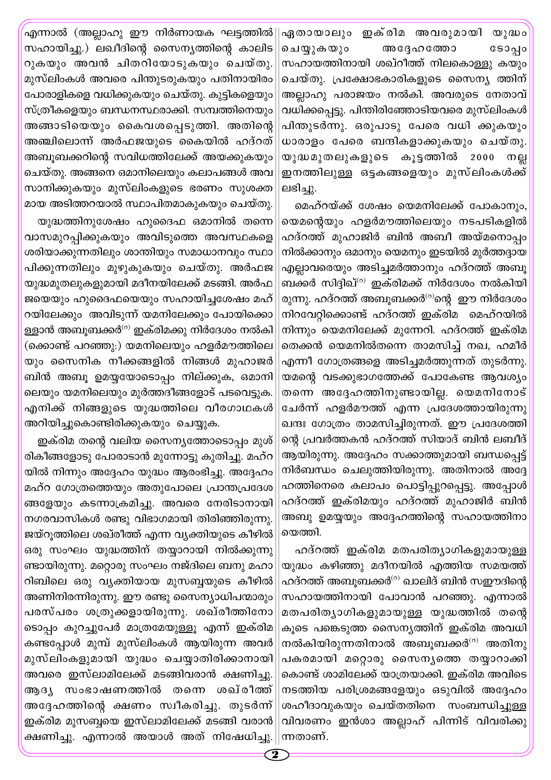ഏതായാലും ഇക്രിമ അവരുമായി യുദ്ധം ചെയ്യുകയും ဒေ၁၃ျ അദ്ദേഹത്തോ സഹായത്തിനായി ശഖ്റീത്ത് നിലകൊള്ളു കയും ചെയ്തു. പ്രക്ഷോഭകാരികളുടെ സൈന്യ ത്തിന് അല്ലാഹു പരാജയം നൽകി. അവരുടെ നേതാവ് വധിക്കപ്പെട്ടു. പിന്തിരിഞ്ഞോടിയവരെ മുസ്ലിംകൾ പിന്തുടർന്നു. ഒരുപാടു പേരെ വധി ക്കുകയും ധാരാളം പേരെ ബന്ദികളാക്കുകയും ചെയ്തു. യുദ്ധമുതലുകളുടെ കൂട്ടത്തിൽ 2000 നല്ല ഇനത്തിലുള്ള ഒട്ടകങ്ങളെയും മുസ്ലിംകൾക്ക് ലഭിച്ചു.

മെഹ്റയ്ക്ക് ശേഷം യെമനിലേക്ക് പോകാനും, യെമന്റെയും ഹളർമൗത്തിലെയും നടപടികളിൽ ഹദ്റത്ത് മുഹാജിർ ബിൻ അബീ അയ്മനൊപ്പം നിൽക്കാനും ഒമാനും യെമനും ഇടയിൽ മുർത്തദ്ദായ എല്ലാവരെയും അടിച്ചമർത്താനും ഹദ്റത്ത് അബു ബക്കർ സിദ്ദിഖ്<sup>(റ)</sup> ഇക്രിമക്ക് നിർദേശം നൽകിയി രുന്നു. ഹദ്റത്ത് അബൂബക്കർ<sup>(റ)</sup>ന്റെ ഈ നിർദേശം നിറവേറ്റിക്കൊണ്ട് ഹദ്റത്ത് ഇക്രിമ മെഹ്റയിൽ നിന്നും യെമനിലേക്ക് മുന്നേറി. ഹദ്റത്ത് ഇക്രിമ തെക്കൻ യെമനിൽതന്നെ താമസിച്ച് നഖ, ഹമീർ എന്നീ ഗോത്രങ്ങളെ അടിച്ചമർത്തുന്നത് തുടർന്നു. യമന്റെ വടക്കുഭാഗത്തേക്ക് പോകേണ്ട ആവശ്യം തന്നെ അദ്ദേഹത്തിനുണ്ടായില്ല. യെമനിനോട് ചേർന്ന് ഹളർമൗത്ത് എന്ന പ്രദേശത്തായിരുന്നു ഖന്ദഃ ഗോത്രം താമസിച്ചിരുന്നത്. ഈ പ്രദേശത്തി ന്റെ പ്രവർത്തകൻ ഹദ്റത്ത് സിയാദ് ബിൻ ലബീദ് ആയിരുന്നു. അദ്ദേഹം സക്കാത്തുമായി ബന്ധപ്പെട്ട് നിർബന്ധം ചെലുത്തിയിരുന്നു. അതിനാൽ അദ്ദേ ഹത്തിനെരെ കലാപം പൊട്ടിപ്പുറപ്പെട്ടു. അപ്പോൾ ഹദ്റത്ത് ഇക്രിമയും ഹദ്റത്ത് മുഹാജിർ ബിൻ അബു ഉമയ്യയും അദ്ദേഹത്തിന്റെ സഹായത്തിനാ യെത്തി.

ഹദ്റത്ത് ഇക്രിമ മതപരിത്യാഗികളുമായുള്ള യുദ്ധം കഴിഞ്ഞു മദീനയിൽ എത്തിയ സമയത്ത് ഹദ്റത്ത് അബൂബക്കർ<sup>ര)</sup> ഖാലിദ് ബിൻ സഈദിന്റെ സഹായത്തിനായി പോവാൻ പറഞ്ഞു. എന്നാൽ മതപരിത്യാഗികളുമായുള്ള യുദ്ധത്തിൽ തന്റെ കൂടെ പങ്കെടുത്ത സൈന്യത്തിന് ഇക്രിമ അവധി നൽകിയിരുന്നതിനാൽ അബുബക്കർ $^{\text{\tiny{(0)}}}$  അതിനു പകരമായി മറ്റൊരു സൈനൃത്തെ തയ്യാറാക്കി കൊണ്ട് ശാമിലേക്ക് യാത്രയാക്കി. ഇക്രിമ അവിടെ നടത്തിയ പരിശ്രമങ്ങളേയും ഒടുവിൽ അദ്ദേഹം ശഹീദാവുകയും ചെയ്തതിനെ സംബന്ധിച്ചുള്ള വിവരണം ഇൻശാ അല്ലാഹ് പിന്നിട് വിവരിക്കു ന്നതാണ്.

'എന്നാൽ (അല്ലാഹു ഈ നിർണായക ഘട്ടത്തിൽ സഹായിച്ചു.) ലഖീദിന്റെ സൈന്യത്തിന്റെ കാലിട റുകയും അവൻ ചിതറിയോടുകയും ചെയ്തു. മുസ്ലിംകൾ അവരെ പിന്തുടരുകയും പതിനായിരം പോരാളികളെ വധിക്കുകയും ചെയ്തു. കുട്ടികളെയും സ്ത്രീകളെയും ബന്ധനസ്ഥരാക്കി. സമ്പത്തിനെയും അങ്ങാടിയെയും കൈവശപ്പെടുത്തി. അതിന്റെ അഞ്ചിലൊന്ന് അർഫജയുടെ കൈയിൽ ഹദ്റത് അബൂബക്കറിന്റെ സവിധത്തിലേക്ക് അയക്കുകയും ചെയ്തു. അങ്ങനെ ഒമാനിലെയും കലാപങ്ങൾ അവ സാനിക്കുകയും മുസ്ലിംകളുടെ ഭരണം സുശക്ത മായ അടിത്തറയാൽ സ്ഥാപിതമാകുകയും ചെയ്തു.

യുദ്ധത്തിനുശേഷം ഹുദൈഫ ഒമാനിൽ തന്നെ വാസമുറപ്പിക്കുകയും അവിടുത്തെ അവസ്ഥകളെ ശരിയാക്കുന്നതിലും ശാന്തിയും സമാധാനവും സ്ഥാ പിക്കുന്നതിലും മുഴുകുകയും ചെയ്തു. അർഫജ യുദ്ധമുതലുകളുമായി മദീനയിലേക്ക് മടങ്ങി. അർഫ ജയെയും ഹുദൈഫയെയും സഹായിച്ചശേഷം മഹ് റയിലേക്കും അവിടുന്ന് യമനിലേക്കും പോയിക്കൊ ള്ളാൻ അബുബക്കർ<sup>(റ)</sup> ഇക്രിമക്കു നിർദേശം നൽകി (ക്കൊണ്ട് പറഞ്ഞു:) യമനിലെയും ഹളർമൗത്തിലെ യും സൈനിക നീക്കങ്ങളിൽ നിങ്ങൾ മുഹാജർ ബിൻ അബൂ ഉമയ്യയോടൊപ്പം നില്ക്കുക, ഒമാനി ലെയും യമനിലെയും മുർത്തദീങ്ങളോട് പടവെട്ടുക. എനിക്ക് നിങ്ങളുടെ യുദ്ധത്തിലെ വീരഗാഥകൾ അറിയിച്ചുകൊണ്ടിരിക്കുകയും ചെയ്യുക.

ഇക്രിമ തന്റെ വലിയ സൈന്യത്തോടൊപ്പം മുശ് രികീങ്ങളോടു പോരാടാൻ മുന്നോട്ടു കുതിച്ചു. മഹ്റ യിൽ നിന്നും അദ്ദേഹം യുദ്ധം ആരംഭിച്ചു. അദ്ദേഹം മഹ്റ ഗോത്രത്തെയും അതുപോലെ പ്രാന്തപ്രദേശ ങ്ങളേയും കടന്നാക്രമിച്ചു. അവരെ നേരിടാനായി നഗരവാസികൾ രണ്ടു വിഭാഗമായി തിരിഞ്ഞിരുന്നു. ജയ്റുത്തിലെ ശഖ്രീത്ത് എന്ന വ്യക്തിയുടെ കീഴിൽ ഒരു സംഘം യുദ്ധത്തിന് തയ്യാറായി നിൽക്കുന്നു ണ്ടായിരുന്നു. മറ്റൊരു സംഘം നജ്ദിലെ ബനു മഹാ റിബിലെ ഒരു വ്യക്തിയായ മുസബ്ബയുടെ കീഴിൽ അണിനിരന്നിരുന്നു. ഈ രണ്ടു സൈന്യാധിപന്മാരും പരസ്പരം ശത്രുക്കളായിരുന്നു. ശഖ്രീത്തിനോ ടൊപ്പം കുറച്ചുപേർ മാത്രമേയുള്ളൂ എന്ന് ഇക്രിമ കണ്ടപ്പോൾ മുമ്പ് മുസ്ലിംകൾ ആയിരുന്ന അവർ മുസ്ലിംകളുമായി യുദ്ധം ചെയ്യാതിരിക്കാനായി അവരെ ഇസ്ലാമിലേക്ക് മടങ്ങിവരാൻ ക്ഷണിച്ചു. സംഭാഷണത്തിൽ തന്നെ ശഖ്രീത്ത്  $(30)$   $(3)$ അദ്ദേഹത്തിന്റെ ക്ഷണം സ്വീകരിച്ചു. തുടർന്ന് ഇക്രിമ മുസബ്ബയെ ഇസ്ലാമിലേക്ക് മടങ്ങി വരാൻ ക്ഷണിച്ചു. എന്നാൽ അയാൾ അത് നിഷേധിച്ചു.